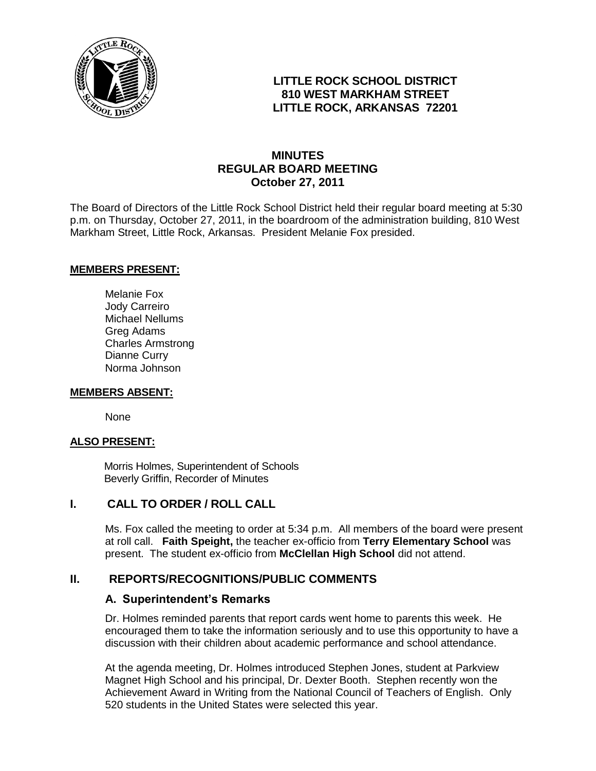

## **LITTLE ROCK SCHOOL DISTRICT 810 WEST MARKHAM STREET LITTLE ROCK, ARKANSAS 72201**

## **MINUTES REGULAR BOARD MEETING October 27, 2011**

The Board of Directors of the Little Rock School District held their regular board meeting at 5:30 p.m. on Thursday, October 27, 2011, in the boardroom of the administration building, 810 West Markham Street, Little Rock, Arkansas. President Melanie Fox presided.

#### **MEMBERS PRESENT:**

Melanie Fox Jody Carreiro Michael Nellums Greg Adams Charles Armstrong Dianne Curry Norma Johnson

#### **MEMBERS ABSENT:**

None

#### **ALSO PRESENT:**

 Morris Holmes, Superintendent of Schools Beverly Griffin, Recorder of Minutes

#### **I. CALL TO ORDER / ROLL CALL**

Ms. Fox called the meeting to order at 5:34 p.m. All members of the board were present at roll call. **Faith Speight,** the teacher ex-officio from **Terry Elementary School** was present. The student ex-officio from **McClellan High School** did not attend.

#### **II. REPORTS/RECOGNITIONS/PUBLIC COMMENTS**

#### **A. Superintendent's Remarks**

Dr. Holmes reminded parents that report cards went home to parents this week. He encouraged them to take the information seriously and to use this opportunity to have a discussion with their children about academic performance and school attendance.

At the agenda meeting, Dr. Holmes introduced Stephen Jones, student at Parkview Magnet High School and his principal, Dr. Dexter Booth. Stephen recently won the Achievement Award in Writing from the National Council of Teachers of English. Only 520 students in the United States were selected this year.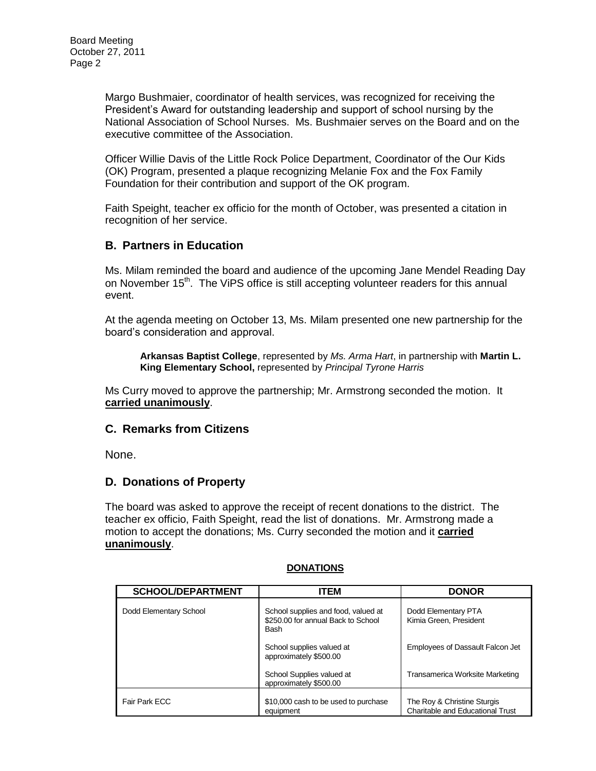Margo Bushmaier, coordinator of health services, was recognized for receiving the President's Award for outstanding leadership and support of school nursing by the National Association of School Nurses. Ms. Bushmaier serves on the Board and on the executive committee of the Association.

Officer Willie Davis of the Little Rock Police Department, Coordinator of the Our Kids (OK) Program, presented a plaque recognizing Melanie Fox and the Fox Family Foundation for their contribution and support of the OK program.

Faith Speight, teacher ex officio for the month of October, was presented a citation in recognition of her service.

#### **B. Partners in Education**

Ms. Milam reminded the board and audience of the upcoming Jane Mendel Reading Day on November 15<sup>th</sup>. The ViPS office is still accepting volunteer readers for this annual event.

At the agenda meeting on October 13, Ms. Milam presented one new partnership for the board's consideration and approval.

**Arkansas Baptist College**, represented by *Ms. Arma Hart*, in partnership with **Martin L. King Elementary School,** represented by *Principal Tyrone Harris*

Ms Curry moved to approve the partnership; Mr. Armstrong seconded the motion. It **carried unanimously**.

#### **C. Remarks from Citizens**

None.

#### **D. Donations of Property**

The board was asked to approve the receipt of recent donations to the district. The teacher ex officio, Faith Speight, read the list of donations. Mr. Armstrong made a motion to accept the donations; Ms. Curry seconded the motion and it **carried unanimously**.

| <b>SCHOOL/DEPARTMENT</b> | <b>ITEM</b>                                                                       | <b>DONOR</b>                                                    |
|--------------------------|-----------------------------------------------------------------------------------|-----------------------------------------------------------------|
| Dodd Elementary School   | School supplies and food, valued at<br>\$250.00 for annual Back to School<br>Bash | Dodd Elementary PTA<br>Kimia Green, President                   |
|                          | School supplies valued at<br>approximately \$500.00                               | Employees of Dassault Falcon Jet                                |
|                          | School Supplies valued at<br>approximately \$500.00                               | Transamerica Worksite Marketing                                 |
| Fair Park ECC            | \$10,000 cash to be used to purchase<br>equipment                                 | The Roy & Christine Sturgis<br>Charitable and Educational Trust |

#### **DONATIONS**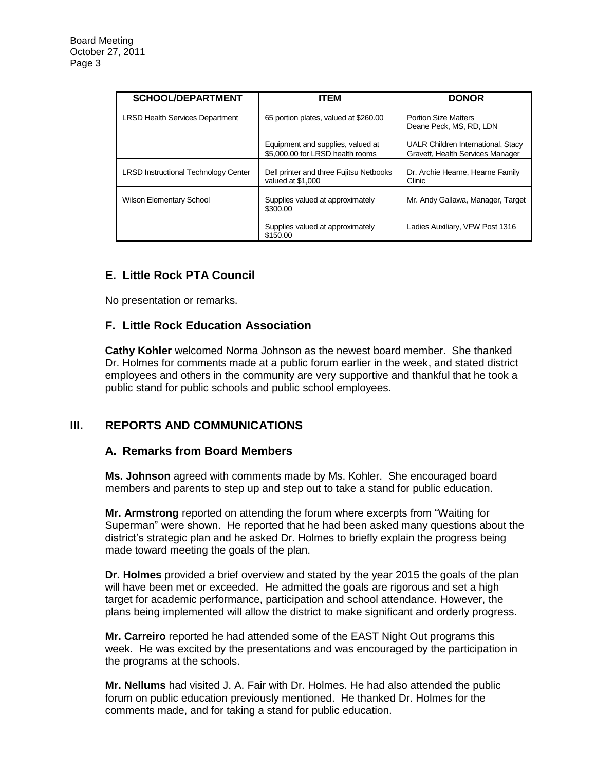| <b>SCHOOL/DEPARTMENT</b>                    | <b>ITEM</b>                                                           | <b>DONOR</b>                                                           |
|---------------------------------------------|-----------------------------------------------------------------------|------------------------------------------------------------------------|
| <b>LRSD Health Services Department</b>      | 65 portion plates, valued at \$260.00                                 | <b>Portion Size Matters</b><br>Deane Peck, MS, RD, LDN                 |
|                                             | Equipment and supplies, valued at<br>\$5,000.00 for LRSD health rooms | UALR Children International, Stacy<br>Gravett. Health Services Manager |
| <b>LRSD Instructional Technology Center</b> | Dell printer and three Fujitsu Netbooks<br>valued at \$1,000          | Dr. Archie Hearne, Hearne Family<br>Clinic                             |
| <b>Wilson Elementary School</b>             | Supplies valued at approximately<br>\$300.00                          | Mr. Andy Gallawa, Manager, Target                                      |
|                                             | Supplies valued at approximately<br>\$150.00                          | Ladies Auxiliary, VFW Post 1316                                        |

# **E. Little Rock PTA Council**

No presentation or remarks.

## **F. Little Rock Education Association**

**Cathy Kohler** welcomed Norma Johnson as the newest board member. She thanked Dr. Holmes for comments made at a public forum earlier in the week, and stated district employees and others in the community are very supportive and thankful that he took a public stand for public schools and public school employees.

## **III. REPORTS AND COMMUNICATIONS**

#### **A. Remarks from Board Members**

**Ms. Johnson** agreed with comments made by Ms. Kohler. She encouraged board members and parents to step up and step out to take a stand for public education.

**Mr. Armstrong** reported on attending the forum where excerpts from "Waiting for Superman" were shown. He reported that he had been asked many questions about the district's strategic plan and he asked Dr. Holmes to briefly explain the progress being made toward meeting the goals of the plan.

**Dr. Holmes** provided a brief overview and stated by the year 2015 the goals of the plan will have been met or exceeded. He admitted the goals are rigorous and set a high target for academic performance, participation and school attendance. However, the plans being implemented will allow the district to make significant and orderly progress.

**Mr. Carreiro** reported he had attended some of the EAST Night Out programs this week. He was excited by the presentations and was encouraged by the participation in the programs at the schools.

**Mr. Nellums** had visited J. A. Fair with Dr. Holmes. He had also attended the public forum on public education previously mentioned. He thanked Dr. Holmes for the comments made, and for taking a stand for public education.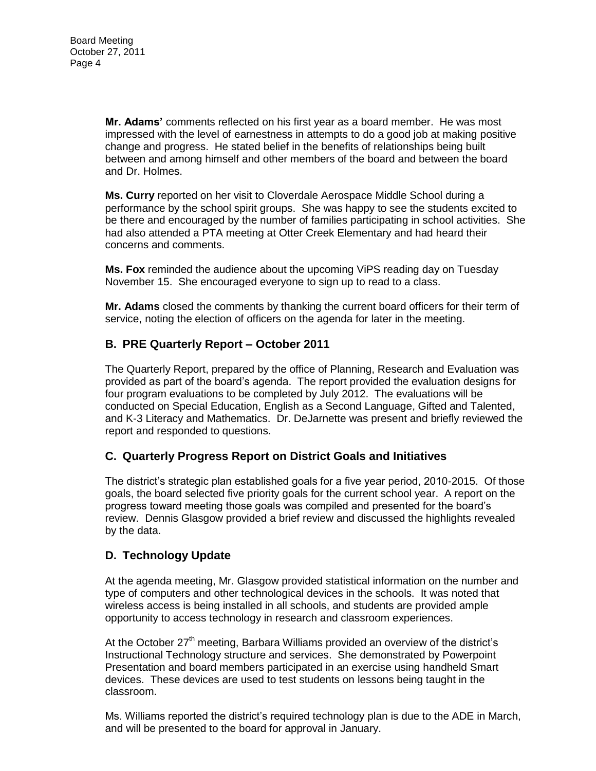**Mr. Adams'** comments reflected on his first year as a board member. He was most impressed with the level of earnestness in attempts to do a good job at making positive change and progress. He stated belief in the benefits of relationships being built between and among himself and other members of the board and between the board and Dr. Holmes.

**Ms. Curry** reported on her visit to Cloverdale Aerospace Middle School during a performance by the school spirit groups. She was happy to see the students excited to be there and encouraged by the number of families participating in school activities. She had also attended a PTA meeting at Otter Creek Elementary and had heard their concerns and comments.

**Ms. Fox** reminded the audience about the upcoming ViPS reading day on Tuesday November 15. She encouraged everyone to sign up to read to a class.

**Mr. Adams** closed the comments by thanking the current board officers for their term of service, noting the election of officers on the agenda for later in the meeting.

## **B. PRE Quarterly Report – October 2011**

The Quarterly Report, prepared by the office of Planning, Research and Evaluation was provided as part of the board's agenda. The report provided the evaluation designs for four program evaluations to be completed by July 2012. The evaluations will be conducted on Special Education, English as a Second Language, Gifted and Talented, and K-3 Literacy and Mathematics. Dr. DeJarnette was present and briefly reviewed the report and responded to questions.

## **C. Quarterly Progress Report on District Goals and Initiatives**

The district's strategic plan established goals for a five year period, 2010-2015. Of those goals, the board selected five priority goals for the current school year. A report on the progress toward meeting those goals was compiled and presented for the board's review. Dennis Glasgow provided a brief review and discussed the highlights revealed by the data.

## **D. Technology Update**

At the agenda meeting, Mr. Glasgow provided statistical information on the number and type of computers and other technological devices in the schools. It was noted that wireless access is being installed in all schools, and students are provided ample opportunity to access technology in research and classroom experiences.

At the October  $27<sup>th</sup>$  meeting, Barbara Williams provided an overview of the district's Instructional Technology structure and services. She demonstrated by Powerpoint Presentation and board members participated in an exercise using handheld Smart devices. These devices are used to test students on lessons being taught in the classroom.

Ms. Williams reported the district's required technology plan is due to the ADE in March, and will be presented to the board for approval in January.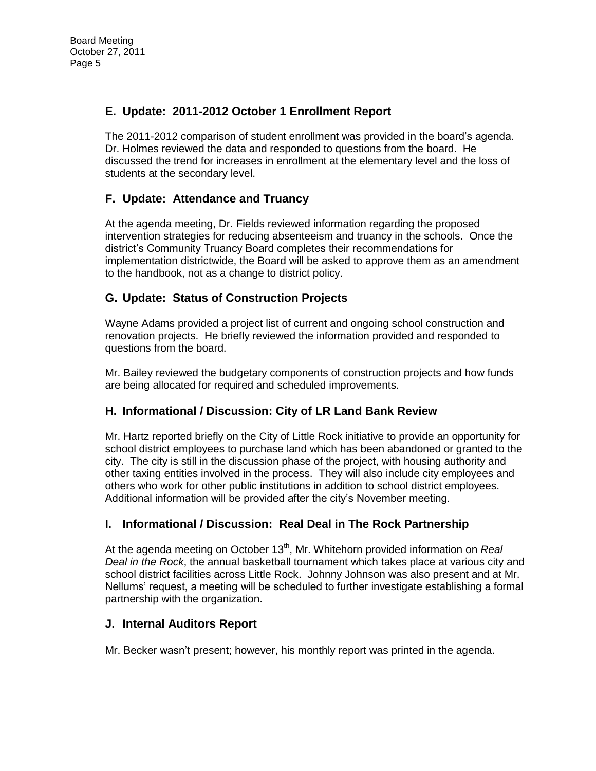# **E. Update: 2011-2012 October 1 Enrollment Report**

The 2011-2012 comparison of student enrollment was provided in the board's agenda. Dr. Holmes reviewed the data and responded to questions from the board. He discussed the trend for increases in enrollment at the elementary level and the loss of students at the secondary level.

## **F. Update: Attendance and Truancy**

At the agenda meeting, Dr. Fields reviewed information regarding the proposed intervention strategies for reducing absenteeism and truancy in the schools. Once the district's Community Truancy Board completes their recommendations for implementation districtwide, the Board will be asked to approve them as an amendment to the handbook, not as a change to district policy.

## **G. Update: Status of Construction Projects**

Wayne Adams provided a project list of current and ongoing school construction and renovation projects. He briefly reviewed the information provided and responded to questions from the board.

Mr. Bailey reviewed the budgetary components of construction projects and how funds are being allocated for required and scheduled improvements.

## **H. Informational / Discussion: City of LR Land Bank Review**

Mr. Hartz reported briefly on the City of Little Rock initiative to provide an opportunity for school district employees to purchase land which has been abandoned or granted to the city. The city is still in the discussion phase of the project, with housing authority and other taxing entities involved in the process. They will also include city employees and others who work for other public institutions in addition to school district employees. Additional information will be provided after the city's November meeting.

## **I. Informational / Discussion: Real Deal in The Rock Partnership**

At the agenda meeting on October 13<sup>th</sup>, Mr. Whitehorn provided information on *Real Deal in the Rock*, the annual basketball tournament which takes place at various city and school district facilities across Little Rock. Johnny Johnson was also present and at Mr. Nellums' request, a meeting will be scheduled to further investigate establishing a formal partnership with the organization.

## **J. Internal Auditors Report**

Mr. Becker wasn't present; however, his monthly report was printed in the agenda.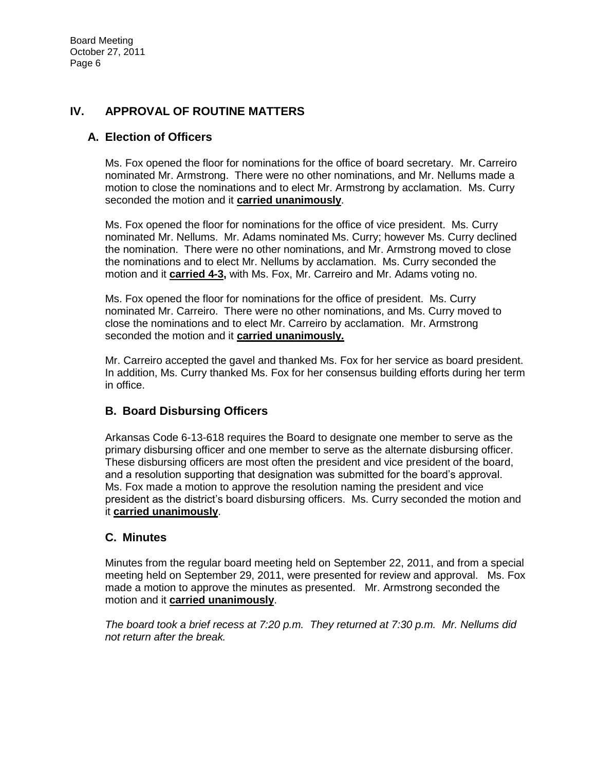## **IV. APPROVAL OF ROUTINE MATTERS**

## **A. Election of Officers**

Ms. Fox opened the floor for nominations for the office of board secretary. Mr. Carreiro nominated Mr. Armstrong. There were no other nominations, and Mr. Nellums made a motion to close the nominations and to elect Mr. Armstrong by acclamation. Ms. Curry seconded the motion and it **carried unanimously**.

Ms. Fox opened the floor for nominations for the office of vice president. Ms. Curry nominated Mr. Nellums. Mr. Adams nominated Ms. Curry; however Ms. Curry declined the nomination. There were no other nominations, and Mr. Armstrong moved to close the nominations and to elect Mr. Nellums by acclamation. Ms. Curry seconded the motion and it **carried 4-3,** with Ms. Fox, Mr. Carreiro and Mr. Adams voting no.

Ms. Fox opened the floor for nominations for the office of president. Ms. Curry nominated Mr. Carreiro. There were no other nominations, and Ms. Curry moved to close the nominations and to elect Mr. Carreiro by acclamation. Mr. Armstrong seconded the motion and it **carried unanimously.**

Mr. Carreiro accepted the gavel and thanked Ms. Fox for her service as board president. In addition, Ms. Curry thanked Ms. Fox for her consensus building efforts during her term in office.

## **B. Board Disbursing Officers**

Arkansas Code 6-13-618 requires the Board to designate one member to serve as the primary disbursing officer and one member to serve as the alternate disbursing officer. These disbursing officers are most often the president and vice president of the board, and a resolution supporting that designation was submitted for the board's approval. Ms. Fox made a motion to approve the resolution naming the president and vice president as the district's board disbursing officers. Ms. Curry seconded the motion and it **carried unanimously**.

## **C. Minutes**

Minutes from the regular board meeting held on September 22, 2011, and from a special meeting held on September 29, 2011, were presented for review and approval. Ms. Fox made a motion to approve the minutes as presented. Mr. Armstrong seconded the motion and it **carried unanimously**.

*The board took a brief recess at 7:20 p.m. They returned at 7:30 p.m. Mr. Nellums did not return after the break.*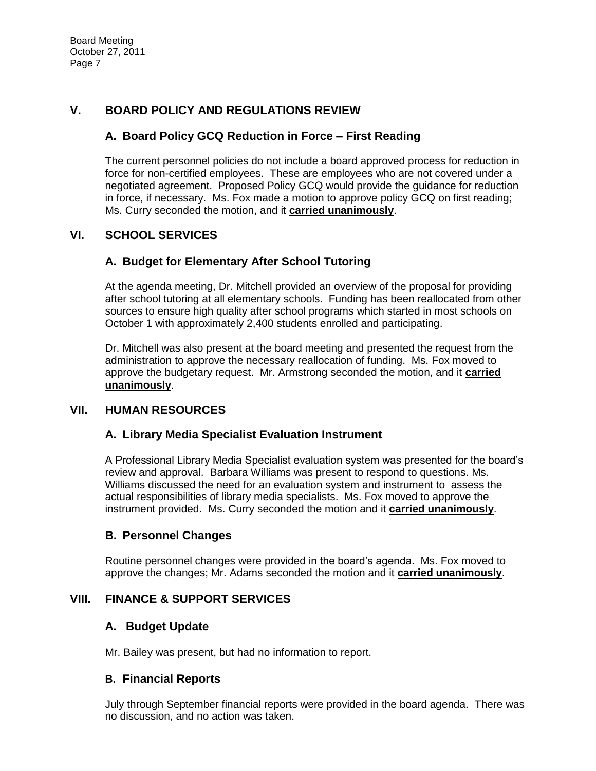## **V. BOARD POLICY AND REGULATIONS REVIEW**

## **A. Board Policy GCQ Reduction in Force – First Reading**

The current personnel policies do not include a board approved process for reduction in force for non-certified employees. These are employees who are not covered under a negotiated agreement. Proposed Policy GCQ would provide the guidance for reduction in force, if necessary. Ms. Fox made a motion to approve policy GCQ on first reading; Ms. Curry seconded the motion, and it **carried unanimously**.

## **VI. SCHOOL SERVICES**

## **A. Budget for Elementary After School Tutoring**

At the agenda meeting, Dr. Mitchell provided an overview of the proposal for providing after school tutoring at all elementary schools. Funding has been reallocated from other sources to ensure high quality after school programs which started in most schools on October 1 with approximately 2,400 students enrolled and participating.

Dr. Mitchell was also present at the board meeting and presented the request from the administration to approve the necessary reallocation of funding. Ms. Fox moved to approve the budgetary request. Mr. Armstrong seconded the motion, and it **carried unanimously**.

## **VII. HUMAN RESOURCES**

#### **A. Library Media Specialist Evaluation Instrument**

A Professional Library Media Specialist evaluation system was presented for the board's review and approval. Barbara Williams was present to respond to questions. Ms. Williams discussed the need for an evaluation system and instrument to assess the actual responsibilities of library media specialists. Ms. Fox moved to approve the instrument provided. Ms. Curry seconded the motion and it **carried unanimously**.

## **B. Personnel Changes**

Routine personnel changes were provided in the board's agenda. Ms. Fox moved to approve the changes; Mr. Adams seconded the motion and it **carried unanimously**.

## **VIII. FINANCE & SUPPORT SERVICES**

## **A. Budget Update**

Mr. Bailey was present, but had no information to report.

#### **B. Financial Reports**

July through September financial reports were provided in the board agenda. There was no discussion, and no action was taken.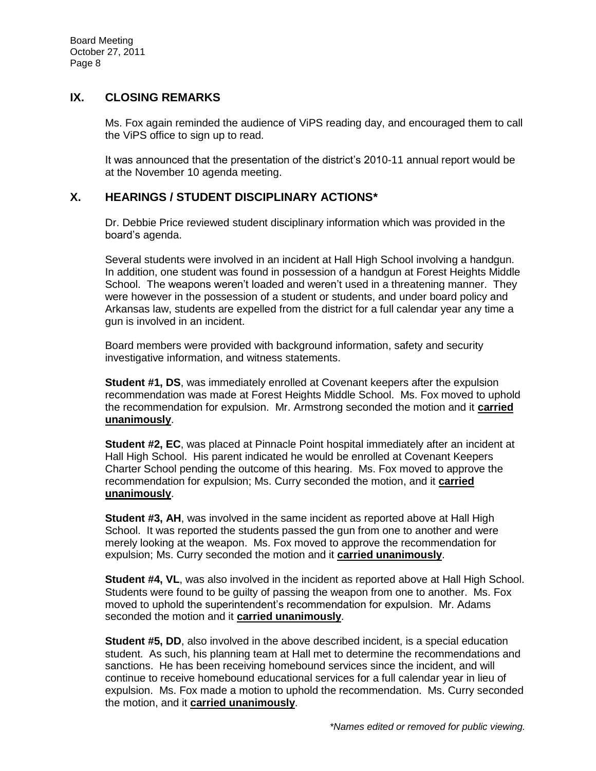#### **IX. CLOSING REMARKS**

Ms. Fox again reminded the audience of ViPS reading day, and encouraged them to call the ViPS office to sign up to read.

It was announced that the presentation of the district's 2010-11 annual report would be at the November 10 agenda meeting.

## **X. HEARINGS / STUDENT DISCIPLINARY ACTIONS\***

Dr. Debbie Price reviewed student disciplinary information which was provided in the board's agenda.

Several students were involved in an incident at Hall High School involving a handgun. In addition, one student was found in possession of a handgun at Forest Heights Middle School. The weapons weren't loaded and weren't used in a threatening manner. They were however in the possession of a student or students, and under board policy and Arkansas law, students are expelled from the district for a full calendar year any time a gun is involved in an incident.

Board members were provided with background information, safety and security investigative information, and witness statements.

**Student #1, DS**, was immediately enrolled at Covenant keepers after the expulsion recommendation was made at Forest Heights Middle School. Ms. Fox moved to uphold the recommendation for expulsion. Mr. Armstrong seconded the motion and it **carried unanimously**.

**Student #2, EC**, was placed at Pinnacle Point hospital immediately after an incident at Hall High School. His parent indicated he would be enrolled at Covenant Keepers Charter School pending the outcome of this hearing. Ms. Fox moved to approve the recommendation for expulsion; Ms. Curry seconded the motion, and it **carried unanimously**.

**Student #3, AH**, was involved in the same incident as reported above at Hall High School. It was reported the students passed the gun from one to another and were merely looking at the weapon. Ms. Fox moved to approve the recommendation for expulsion; Ms. Curry seconded the motion and it **carried unanimously**.

**Student #4, VL**, was also involved in the incident as reported above at Hall High School. Students were found to be guilty of passing the weapon from one to another. Ms. Fox moved to uphold the superintendent's recommendation for expulsion. Mr. Adams seconded the motion and it **carried unanimously**.

**Student #5, DD**, also involved in the above described incident, is a special education student. As such, his planning team at Hall met to determine the recommendations and sanctions. He has been receiving homebound services since the incident, and will continue to receive homebound educational services for a full calendar year in lieu of expulsion. Ms. Fox made a motion to uphold the recommendation. Ms. Curry seconded the motion, and it **carried unanimously**.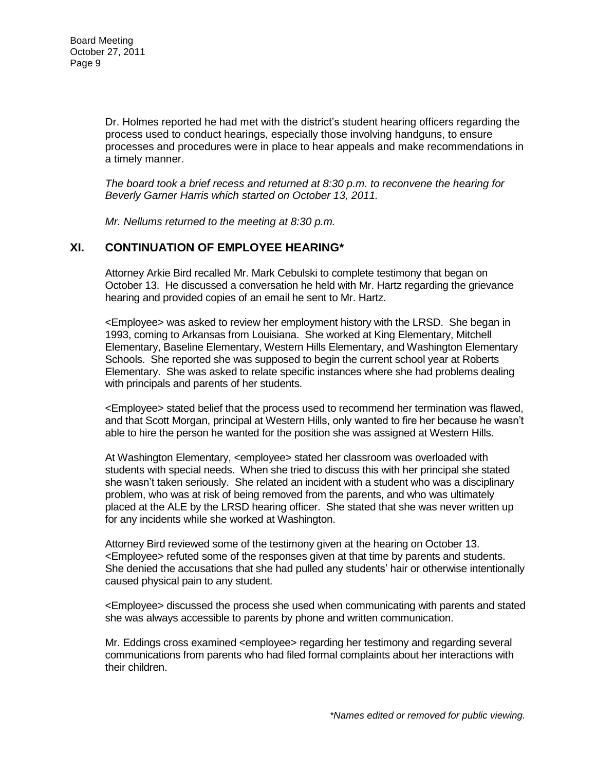Dr. Holmes reported he had met with the district's student hearing officers regarding the process used to conduct hearings, especially those involving handguns, to ensure processes and procedures were in place to hear appeals and make recommendations in a timely manner.

*The board took a brief recess and returned at 8:30 p.m. to reconvene the hearing for Beverly Garner Harris which started on October 13, 2011.* 

*Mr. Nellums returned to the meeting at 8:30 p.m.* 

#### **XI. CONTINUATION OF EMPLOYEE HEARING\***

Attorney Arkie Bird recalled Mr. Mark Cebulski to complete testimony that began on October 13. He discussed a conversation he held with Mr. Hartz regarding the grievance hearing and provided copies of an email he sent to Mr. Hartz.

<Employee> was asked to review her employment history with the LRSD. She began in 1993, coming to Arkansas from Louisiana. She worked at King Elementary, Mitchell Elementary, Baseline Elementary, Western Hills Elementary, and Washington Elementary Schools. She reported she was supposed to begin the current school year at Roberts Elementary. She was asked to relate specific instances where she had problems dealing with principals and parents of her students.

<Employee> stated belief that the process used to recommend her termination was flawed, and that Scott Morgan, principal at Western Hills, only wanted to fire her because he wasn't able to hire the person he wanted for the position she was assigned at Western Hills.

At Washington Elementary, <employee> stated her classroom was overloaded with students with special needs. When she tried to discuss this with her principal she stated she wasn't taken seriously. She related an incident with a student who was a disciplinary problem, who was at risk of being removed from the parents, and who was ultimately placed at the ALE by the LRSD hearing officer. She stated that she was never written up for any incidents while she worked at Washington.

Attorney Bird reviewed some of the testimony given at the hearing on October 13. <Employee> refuted some of the responses given at that time by parents and students. She denied the accusations that she had pulled any students' hair or otherwise intentionally caused physical pain to any student.

<Employee> discussed the process she used when communicating with parents and stated she was always accessible to parents by phone and written communication.

Mr. Eddings cross examined <employee> regarding her testimony and regarding several communications from parents who had filed formal complaints about her interactions with their children.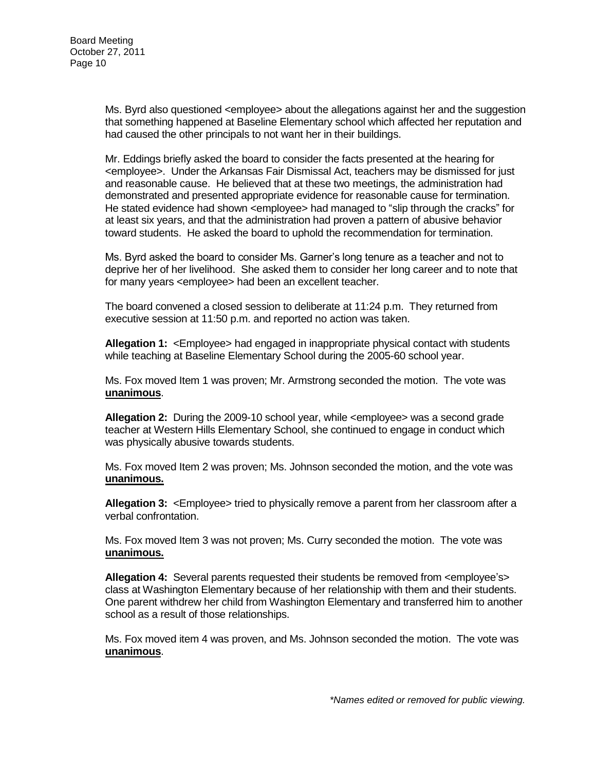Ms. Byrd also questioned <employee> about the allegations against her and the suggestion that something happened at Baseline Elementary school which affected her reputation and had caused the other principals to not want her in their buildings.

Mr. Eddings briefly asked the board to consider the facts presented at the hearing for <employee>. Under the Arkansas Fair Dismissal Act, teachers may be dismissed for just and reasonable cause. He believed that at these two meetings, the administration had demonstrated and presented appropriate evidence for reasonable cause for termination. He stated evidence had shown <employee> had managed to "slip through the cracks" for at least six years, and that the administration had proven a pattern of abusive behavior toward students. He asked the board to uphold the recommendation for termination.

Ms. Byrd asked the board to consider Ms. Garner's long tenure as a teacher and not to deprive her of her livelihood. She asked them to consider her long career and to note that for many years <employee> had been an excellent teacher.

The board convened a closed session to deliberate at 11:24 p.m. They returned from executive session at 11:50 p.m. and reported no action was taken.

**Allegation 1:** <Employee> had engaged in inappropriate physical contact with students while teaching at Baseline Elementary School during the 2005-60 school year.

Ms. Fox moved Item 1 was proven; Mr. Armstrong seconded the motion. The vote was **unanimous**.

**Allegation 2:** During the 2009-10 school year, while <employee> was a second grade teacher at Western Hills Elementary School, she continued to engage in conduct which was physically abusive towards students.

Ms. Fox moved Item 2 was proven; Ms. Johnson seconded the motion, and the vote was **unanimous.** 

**Allegation 3:** <Employee> tried to physically remove a parent from her classroom after a verbal confrontation.

Ms. Fox moved Item 3 was not proven; Ms. Curry seconded the motion. The vote was **unanimous.** 

Allegation 4: Several parents requested their students be removed from <employee's> class at Washington Elementary because of her relationship with them and their students. One parent withdrew her child from Washington Elementary and transferred him to another school as a result of those relationships.

Ms. Fox moved item 4 was proven, and Ms. Johnson seconded the motion. The vote was **unanimous**.

*\*Names edited or removed for public viewing.*